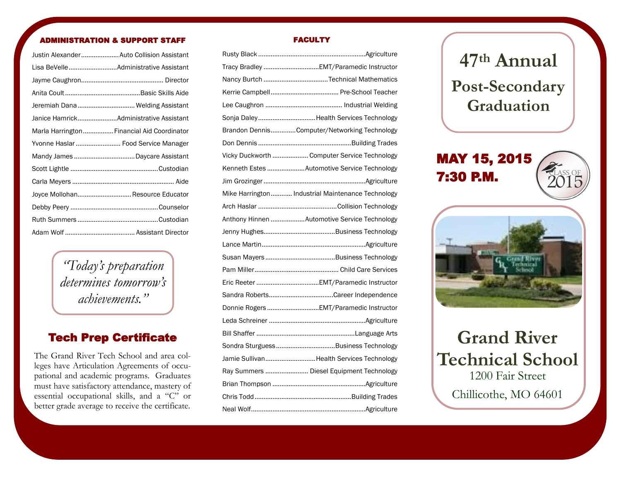#### NISTRATION & SUPPORT STAFF

| Justin Alexander Auto Collision Assistant  |
|--------------------------------------------|
|                                            |
|                                            |
|                                            |
| Jeremiah Dana  Welding Assistant           |
|                                            |
| Marla Harrington Financial Aid Coordinator |
| Yvonne Haslar  Food Service Manager        |
|                                            |
|                                            |
|                                            |
| Joyce Mollohan Resource Educator           |
|                                            |
|                                            |
|                                            |

*"Today's preparation determines tomorrow's achievements."*

### Tech Prep Certificate

The Grand River Tech School and area colleges have Articulation Agreements of occupational and academic programs. Graduates must have satisfactory attendance, mastery of essential occupational skills, and a "C" or better grade average to receive the certificate.

#### FACULTY

| Nancy Burtch Technical Mathematics                 |
|----------------------------------------------------|
|                                                    |
|                                                    |
| Sonja DaleyHealth Services Technology              |
| Brandon DennisComputer/Networking Technology       |
|                                                    |
| Vicky Duckworth  Computer Service Technology       |
| Kenneth Estes Automotive Service Technology        |
|                                                    |
| Mike Harrington  Industrial Maintenance Technology |
|                                                    |
| Anthony Hinnen Automotive Service Technology       |
|                                                    |
|                                                    |
|                                                    |
|                                                    |
|                                                    |
|                                                    |
| Donnie Rogers EMT/Paramedic Instructor             |
|                                                    |
|                                                    |
| Sondra SturguessBusiness Technology                |
| Jamie SullivanHealth Services Technology           |
| Ray Summers  Diesel Equipment Technology           |
|                                                    |
|                                                    |
|                                                    |

# **47th Annual Post-Secondary Graduation**

MAY 15, 2015 7:30 P.M.



2015 CLASS OF

## **Grand River Technical School** 1200 Fair Street Chillicothe, MO 64601